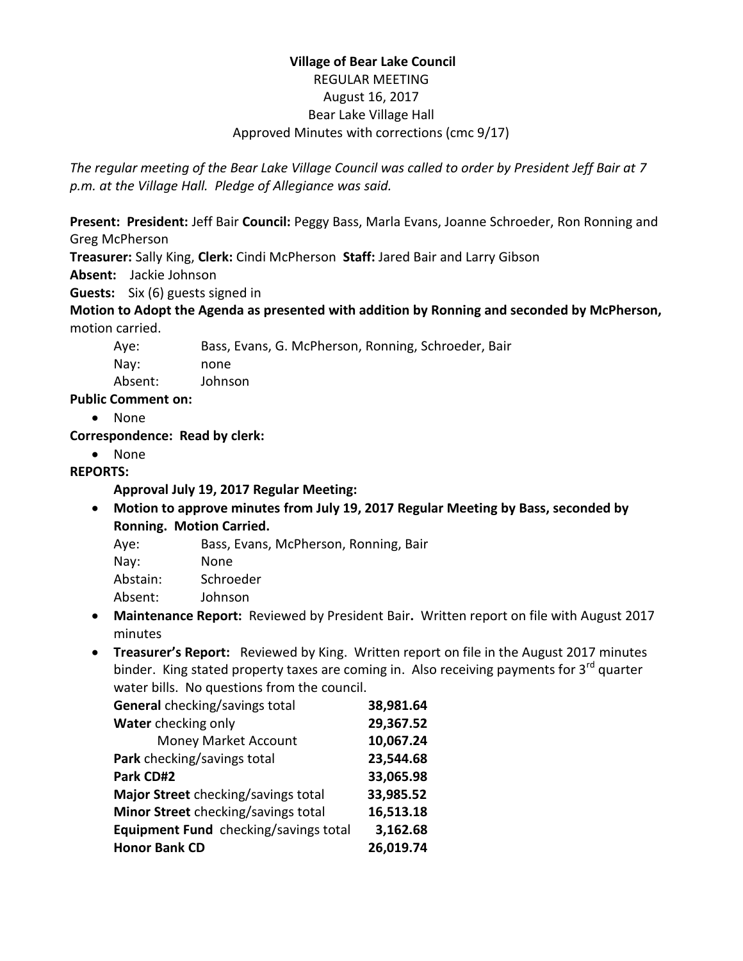# **Village of Bear Lake Council** REGULAR MEETING August 16, 2017 Bear Lake Village Hall Approved Minutes with corrections (cmc 9/17)

*The regular meeting of the Bear Lake Village Council was called to order by President Jeff Bair at 7 p.m. at the Village Hall. Pledge of Allegiance was said.*

**Present: President:** Jeff Bair **Council:** Peggy Bass, Marla Evans, Joanne Schroeder, Ron Ronning and Greg McPherson

**Treasurer:** Sally King, **Clerk:** Cindi McPherson **Staff:** Jared Bair and Larry Gibson

**Absent:** Jackie Johnson

**Guests:** Six (6) guests signed in

**Motion to Adopt the Agenda as presented with addition by Ronning and seconded by McPherson,**  motion carried.

Aye: Bass, Evans, G. McPherson, Ronning, Schroeder, Bair

Nay: none

Absent: Johnson

**Public Comment on:** 

None

## **Correspondence: Read by clerk:**

• None

# **REPORTS:**

## **Approval July 19, 2017 Regular Meeting:**

- **Motion to approve minutes from July 19, 2017 Regular Meeting by Bass, seconded by Ronning. Motion Carried.**
	- Aye: Bass, Evans, McPherson, Ronning, Bair
	- Nay: None Abstain: Schroeder
	- Absent: Johnson
- **Maintenance Report:** Reviewed by President Bair**.** Written report on file with August 2017 minutes
- **Treasurer's Report:** Reviewed by King. Written report on file in the August 2017 minutes binder. King stated property taxes are coming in. Also receiving payments for 3<sup>rd</sup> quarter water bills. No questions from the council.

| General checking/savings total        | 38,981.64 |
|---------------------------------------|-----------|
| Water checking only                   | 29,367.52 |
| Money Market Account                  | 10,067.24 |
| Park checking/savings total           | 23,544.68 |
| Park CD#2                             | 33,065.98 |
| Major Street checking/savings total   | 33,985.52 |
| Minor Street checking/savings total   | 16,513.18 |
| Equipment Fund checking/savings total | 3,162.68  |
| <b>Honor Bank CD</b>                  | 26,019.74 |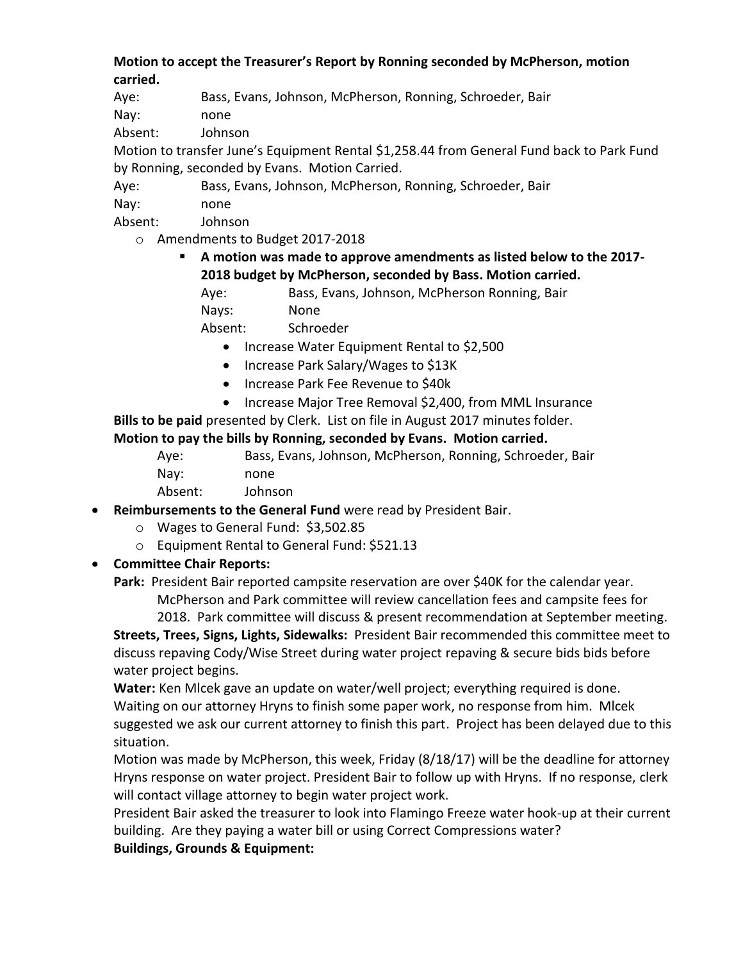#### **Motion to accept the Treasurer's Report by Ronning seconded by McPherson, motion carried.**

Aye: Bass, Evans, Johnson, McPherson, Ronning, Schroeder, Bair

Nay: none

Absent: Johnson

Motion to transfer June's Equipment Rental \$1,258.44 from General Fund back to Park Fund by Ronning, seconded by Evans. Motion Carried.

Aye: Bass, Evans, Johnson, McPherson, Ronning, Schroeder, Bair

Nay: none

Absent: Johnson

o Amendments to Budget 2017-2018

## **A motion was made to approve amendments as listed below to the 2017- 2018 budget by McPherson, seconded by Bass. Motion carried.**

Aye: Bass, Evans, Johnson, McPherson Ronning, Bair Nays: None

Absent: Schroeder

- Increase Water Equipment Rental to \$2,500
- Increase Park Salary/Wages to \$13K
- Increase Park Fee Revenue to \$40k
- Increase Major Tree Removal \$2,400, from MML Insurance

**Bills to be paid** presented by Clerk. List on file in August 2017 minutes folder. **Motion to pay the bills by Ronning, seconded by Evans. Motion carried.**

| Ave:    | Bass, Evans, Johnson, McPherson, Ronning, Schroeder, Bair |
|---------|-----------------------------------------------------------|
| Nav:    | none                                                      |
| Absent: | Johnson                                                   |

- **Reimbursements to the General Fund** were read by President Bair.
	- o Wages to General Fund: \$3,502.85
	- o Equipment Rental to General Fund: \$521.13

## **Committee Chair Reports:**

**Park:** President Bair reported campsite reservation are over \$40K for the calendar year. McPherson and Park committee will review cancellation fees and campsite fees for 2018. Park committee will discuss & present recommendation at September meeting.

**Streets, Trees, Signs, Lights, Sidewalks:** President Bair recommended this committee meet to discuss repaving Cody/Wise Street during water project repaving & secure bids bids before water project begins.

**Water:** Ken Mlcek gave an update on water/well project; everything required is done. Waiting on our attorney Hryns to finish some paper work, no response from him. Mlcek suggested we ask our current attorney to finish this part. Project has been delayed due to this situation.

Motion was made by McPherson, this week, Friday (8/18/17) will be the deadline for attorney Hryns response on water project. President Bair to follow up with Hryns. If no response, clerk will contact village attorney to begin water project work.

President Bair asked the treasurer to look into Flamingo Freeze water hook-up at their current building. Are they paying a water bill or using Correct Compressions water?

**Buildings, Grounds & Equipment:**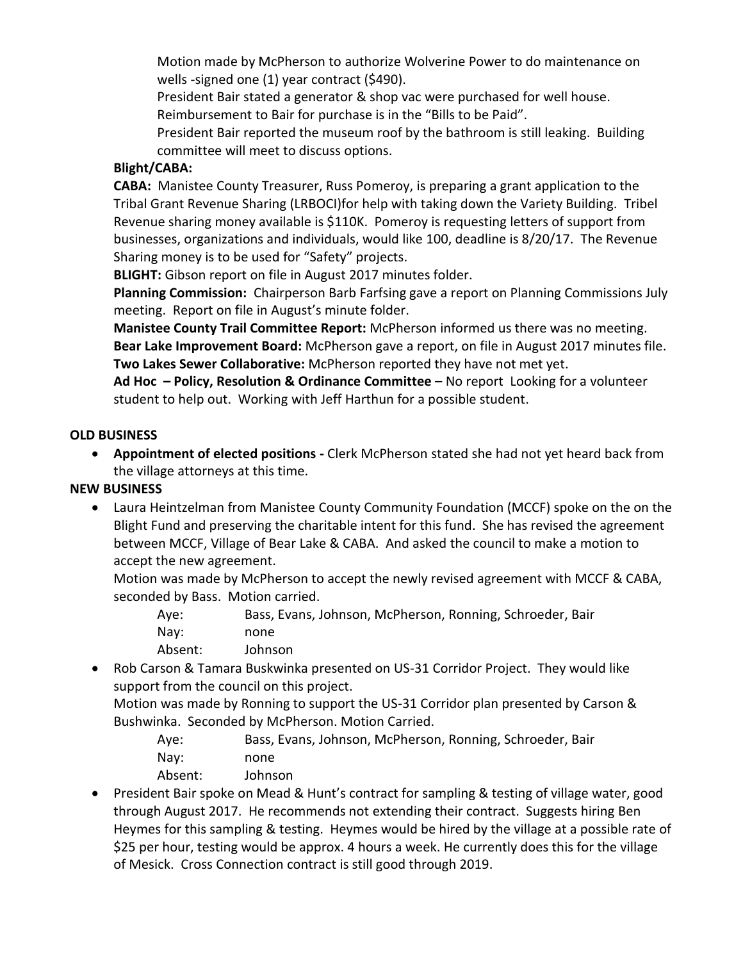Motion made by McPherson to authorize Wolverine Power to do maintenance on wells -signed one (1) year contract (\$490).

President Bair stated a generator & shop vac were purchased for well house. Reimbursement to Bair for purchase is in the "Bills to be Paid".

President Bair reported the museum roof by the bathroom is still leaking. Building committee will meet to discuss options.

#### **Blight/CABA:**

**CABA:** Manistee County Treasurer, Russ Pomeroy, is preparing a grant application to the Tribal Grant Revenue Sharing (LRBOCI)for help with taking down the Variety Building. Tribel Revenue sharing money available is \$110K. Pomeroy is requesting letters of support from businesses, organizations and individuals, would like 100, deadline is 8/20/17. The Revenue Sharing money is to be used for "Safety" projects.

**BLIGHT:** Gibson report on file in August 2017 minutes folder.

**Planning Commission:** Chairperson Barb Farfsing gave a report on Planning Commissions July meeting. Report on file in August's minute folder.

**Manistee County Trail Committee Report:** McPherson informed us there was no meeting. **Bear Lake Improvement Board:** McPherson gave a report, on file in August 2017 minutes file. **Two Lakes Sewer Collaborative:** McPherson reported they have not met yet.

**Ad Hoc – Policy, Resolution & Ordinance Committee** – No report Looking for a volunteer student to help out. Working with Jeff Harthun for a possible student.

## **OLD BUSINESS**

 **Appointment of elected positions -** Clerk McPherson stated she had not yet heard back from the village attorneys at this time.

## **NEW BUSINESS**

 Laura Heintzelman from Manistee County Community Foundation (MCCF) spoke on the on the Blight Fund and preserving the charitable intent for this fund. She has revised the agreement between MCCF, Village of Bear Lake & CABA. And asked the council to make a motion to accept the new agreement.

Motion was made by McPherson to accept the newly revised agreement with MCCF & CABA, seconded by Bass. Motion carried.

| Ave:    | Bass, Evans, Johnson, McPherson, Ronning, Schroeder, Bair |
|---------|-----------------------------------------------------------|
| Nav:    | none                                                      |
| Absent: | Johnson                                                   |

 Rob Carson & Tamara Buskwinka presented on US-31 Corridor Project. They would like support from the council on this project.

Motion was made by Ronning to support the US-31 Corridor plan presented by Carson & Bushwinka. Seconded by McPherson. Motion Carried.

Aye: Bass, Evans, Johnson, McPherson, Ronning, Schroeder, Bair Nay: none Absent: Johnson

 President Bair spoke on Mead & Hunt's contract for sampling & testing of village water, good through August 2017. He recommends not extending their contract. Suggests hiring Ben Heymes for this sampling & testing. Heymes would be hired by the village at a possible rate of \$25 per hour, testing would be approx. 4 hours a week. He currently does this for the village of Mesick. Cross Connection contract is still good through 2019.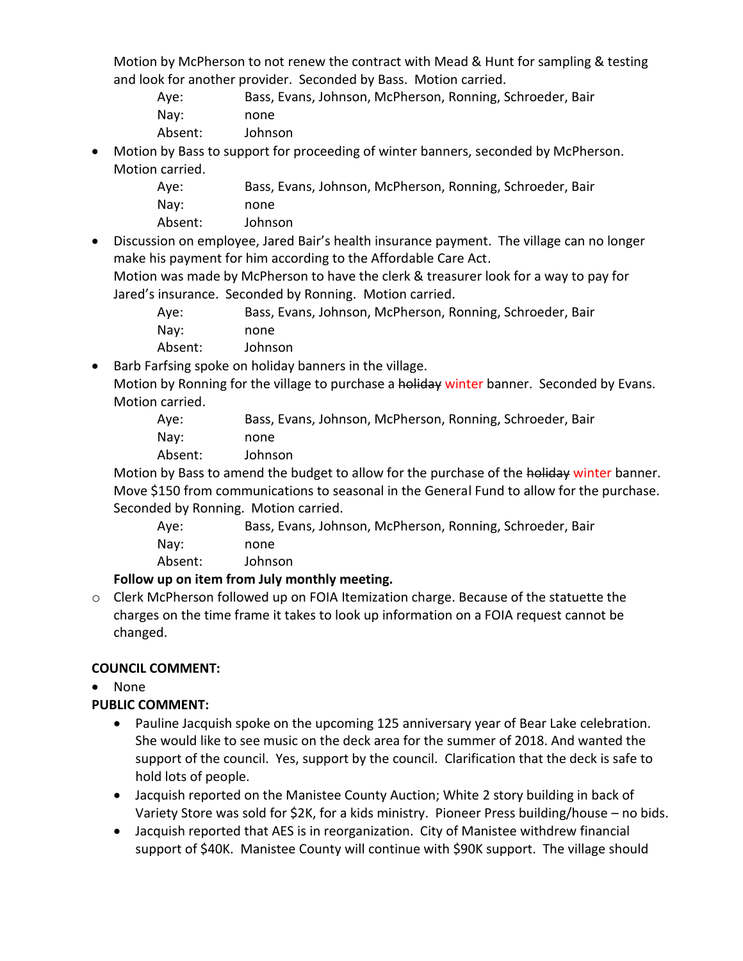Motion by McPherson to not renew the contract with Mead & Hunt for sampling & testing and look for another provider. Seconded by Bass. Motion carried.

Aye: Bass, Evans, Johnson, McPherson, Ronning, Schroeder, Bair Nay: none

- Absent: Johnson
- Motion by Bass to support for proceeding of winter banners, seconded by McPherson. Motion carried.

| Ave:    | Bass, Evans, Johnson, McPherson, Ronning, Schroeder, Bair |
|---------|-----------------------------------------------------------|
| Nav:    | none                                                      |
| Absent: | Johnson                                                   |

 Discussion on employee, Jared Bair's health insurance payment. The village can no longer make his payment for him according to the Affordable Care Act.

Motion was made by McPherson to have the clerk & treasurer look for a way to pay for Jared's insurance. Seconded by Ronning. Motion carried.

| Ave:    | Bass, Evans, Johnson, McPherson, Ronning, Schroeder, Bair |
|---------|-----------------------------------------------------------|
| Nav:    | none                                                      |
| Absent: | Johnson                                                   |

• Barb Farfsing spoke on holiday banners in the village.

Motion by Ronning for the village to purchase a holiday winter banner. Seconded by Evans. Motion carried.

Aye: Bass, Evans, Johnson, McPherson, Ronning, Schroeder, Bair Nay: none

Absent: Johnson

Motion by Bass to amend the budget to allow for the purchase of the holiday winter banner. Move \$150 from communications to seasonal in the General Fund to allow for the purchase. Seconded by Ronning. Motion carried.

| Ave:    | Bass, Evans, Johnson, McPherson, Ronning, Schroeder, Bair |
|---------|-----------------------------------------------------------|
| Nav:    | none                                                      |
| Absent: | Johnson                                                   |

**Follow up on item from July monthly meeting.**

o Clerk McPherson followed up on FOIA Itemization charge. Because of the statuette the charges on the time frame it takes to look up information on a FOIA request cannot be changed.

## **COUNCIL COMMENT:**

None

## **PUBLIC COMMENT:**

- Pauline Jacquish spoke on the upcoming 125 anniversary year of Bear Lake celebration. She would like to see music on the deck area for the summer of 2018. And wanted the support of the council. Yes, support by the council. Clarification that the deck is safe to hold lots of people.
- Jacquish reported on the Manistee County Auction; White 2 story building in back of Variety Store was sold for \$2K, for a kids ministry. Pioneer Press building/house – no bids.
- Jacquish reported that AES is in reorganization. City of Manistee withdrew financial support of \$40K. Manistee County will continue with \$90K support. The village should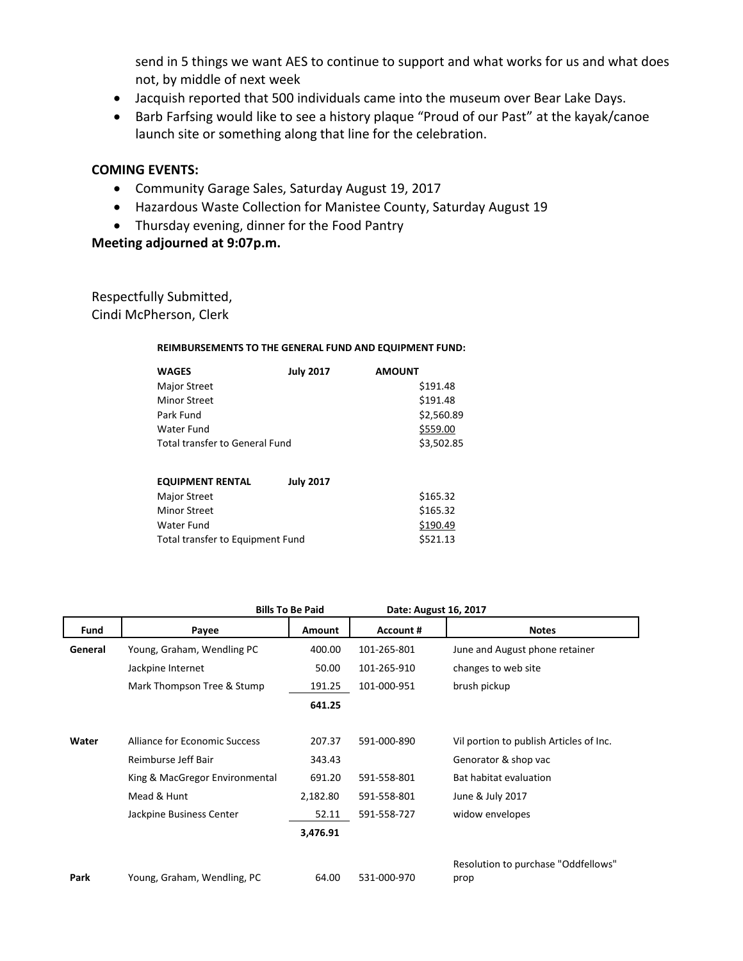send in 5 things we want AES to continue to support and what works for us and what does not, by middle of next week

- Jacquish reported that 500 individuals came into the museum over Bear Lake Days.
- Barb Farfsing would like to see a history plaque "Proud of our Past" at the kayak/canoe launch site or something along that line for the celebration.

#### **COMING EVENTS:**

- Community Garage Sales, Saturday August 19, 2017
- Hazardous Waste Collection for Manistee County, Saturday August 19
- Thursday evening, dinner for the Food Pantry

**Meeting adjourned at 9:07p.m.**

Respectfully Submitted, Cindi McPherson, Clerk

#### **REIMBURSEMENTS TO THE GENERAL FUND AND EQUIPMENT FUND:**

| <b>WAGES</b>                          | <b>July 2017</b> | <b>AMOUNT</b> |
|---------------------------------------|------------------|---------------|
| <b>Major Street</b>                   |                  | \$191.48      |
| <b>Minor Street</b>                   |                  | \$191.48      |
| Park Fund                             |                  | \$2,560.89    |
| Water Fund                            |                  | \$559.00      |
| <b>Total transfer to General Fund</b> |                  | \$3,502.85    |
| <b>EQUIPMENT RENTAL</b>               | <b>July 2017</b> |               |
| <b>Major Street</b>                   |                  | \$165.32      |
| <b>Minor Street</b>                   |                  | \$165.32      |
| Water Fund                            |                  | \$190.49      |
| Total transfer to Equipment Fund      |                  | \$521.13      |

|             | <b>Bills To Be Paid</b>        |               | Date: August 16, 2017 |                                             |
|-------------|--------------------------------|---------------|-----------------------|---------------------------------------------|
| <b>Fund</b> | Payee                          | <b>Amount</b> | <b>Account #</b>      | <b>Notes</b>                                |
| General     | Young, Graham, Wendling PC     | 400.00        | 101-265-801           | June and August phone retainer              |
|             | Jackpine Internet              | 50.00         | 101-265-910           | changes to web site                         |
|             | Mark Thompson Tree & Stump     | 191.25        | 101-000-951           | brush pickup                                |
|             |                                | 641.25        |                       |                                             |
|             |                                |               |                       |                                             |
| Water       | Alliance for Economic Success  | 207.37        | 591-000-890           | Vil portion to publish Articles of Inc.     |
|             | Reimburse Jeff Bair            | 343.43        |                       | Genorator & shop vac                        |
|             | King & MacGregor Environmental | 691.20        | 591-558-801           | Bat habitat evaluation                      |
|             | Mead & Hunt                    | 2,182.80      | 591-558-801           | June & July 2017                            |
|             | Jackpine Business Center       | 52.11         | 591-558-727           | widow envelopes                             |
|             |                                | 3,476.91      |                       |                                             |
| Park        | Young, Graham, Wendling, PC    | 64.00         | 531-000-970           | Resolution to purchase "Oddfellows"<br>prop |